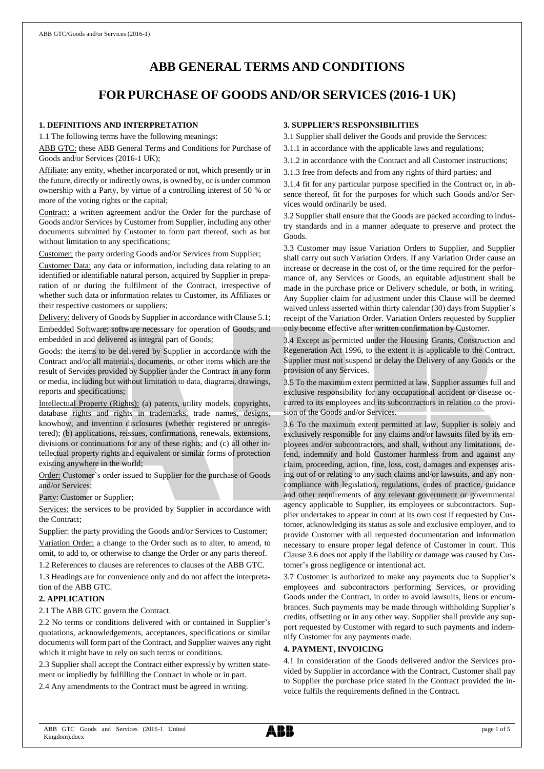# **ABB GENERAL TERMS AND CONDITIONS**

## **FOR PURCHASE OF GOODS AND/OR SERVICES (2016-1 UK)**

#### **1. DEFINITIONS AND INTERPRETATION**

1.1 The following terms have the following meanings:

ABB GTC: these ABB General Terms and Conditions for Purchase of Goods and/or Services (2016-1 UK);

Affiliate: any entity, whether incorporated or not, which presently or in the future, directly or indirectly owns, is owned by, or is under common ownership with a Party, by virtue of a controlling interest of 50 % or more of the voting rights or the capital;

Contract: a written agreement and/or the Order for the purchase of Goods and/or Services by Customer from Supplier, including any other documents submitted by Customer to form part thereof, such as but without limitation to any specifications;

Customer: the party ordering Goods and/or Services from Supplier;

Customer Data: any data or information, including data relating to an identified or identifiable natural person, acquired by Supplier in preparation of or during the fulfilment of the Contract, irrespective of whether such data or information relates to Customer, its Affiliates or their respective customers or suppliers;

Delivery: delivery of Goods by Supplier in accordance with Clause 5.1; Embedded Software: software necessary for operation of Goods, and embedded in and delivered as integral part of Goods;

Goods: the items to be delivered by Supplier in accordance with the Contract and/or all materials, documents, or other items which are the result of Services provided by Supplier under the Contract in any form or media, including but without limitation to data, diagrams, drawings, reports and specifications;

Intellectual Property (Rights): (a) patents, utility models, copyrights, database rights and rights in trademarks, trade names, designs, knowhow, and invention disclosures (whether registered or unregistered); (b) applications, reissues, confirmations, renewals, extensions, divisions or continuations for any of these rights; and (c) all other intellectual property rights and equivalent or similar forms of protection existing anywhere in the world;

Order: Customer's order issued to Supplier for the purchase of Goods and/or Services;

Party: Customer or Supplier;

Services: the services to be provided by Supplier in accordance with the Contract;

Supplier: the party providing the Goods and/or Services to Customer; Variation Order: a change to the Order such as to alter, to amend, to omit, to add to, or otherwise to change the Order or any parts thereof.

1.2 References to clauses are references to clauses of the ABB GTC.

1.3 Headings are for convenience only and do not affect the interpretation of the ABB GTC.

#### **2. APPLICATION**

2.1 The ABB GTC govern the Contract.

2.2 No terms or conditions delivered with or contained in Supplier's quotations, acknowledgements, acceptances, specifications or similar documents will form part of the Contract, and Supplier waives any right which it might have to rely on such terms or conditions.

2.3 Supplier shall accept the Contract either expressly by written statement or impliedly by fulfilling the Contract in whole or in part.

2.4 Any amendments to the Contract must be agreed in writing.

#### **3. SUPPLIER'S RESPONSIBILITIES**

3.1 Supplier shall deliver the Goods and provide the Services:

3.1.1 in accordance with the applicable laws and regulations;

3.1.2 in accordance with the Contract and all Customer instructions;

3.1.3 free from defects and from any rights of third parties; and

3.1.4 fit for any particular purpose specified in the Contract or, in absence thereof, fit for the purposes for which such Goods and/or Services would ordinarily be used.

3.2 Supplier shall ensure that the Goods are packed according to industry standards and in a manner adequate to preserve and protect the Goods.

3.3 Customer may issue Variation Orders to Supplier, and Supplier shall carry out such Variation Orders. If any Variation Order cause an increase or decrease in the cost of, or the time required for the performance of, any Services or Goods, an equitable adjustment shall be made in the purchase price or Delivery schedule, or both, in writing. Any Supplier claim for adjustment under this Clause will be deemed waived unless asserted within thirty calendar (30) days from Supplier's receipt of the Variation Order. Variation Orders requested by Supplier only become effective after written confirmation by Customer.

3.4 Except as permitted under the Housing Grants, Construction and Regeneration Act 1996, to the extent it is applicable to the Contract, Supplier must not suspend or delay the Delivery of any Goods or the provision of any Services.

3.5 To the maximum extent permitted at law, Supplier assumes full and exclusive responsibility for any occupational accident or disease occurred to its employees and its subcontractors in relation to the provision of the Goods and/or Services.

3.6 To the maximum extent permitted at law, Supplier is solely and exclusively responsible for any claims and/or lawsuits filed by its employees and/or subcontractors, and shall, without any limitations, defend, indemnify and hold Customer harmless from and against any claim, proceeding, action, fine, loss, cost, damages and expenses arising out of or relating to any such claims and/or lawsuits, and any noncompliance with legislation, regulations, codes of practice, guidance and other requirements of any relevant government or governmental agency applicable to Supplier, its employees or subcontractors. Supplier undertakes to appear in court at its own cost if requested by Customer, acknowledging its status as sole and exclusive employer, and to provide Customer with all requested documentation and information necessary to ensure proper legal defence of Customer in court. This Clause 3.6 does not apply if the liability or damage was caused by Customer's gross negligence or intentional act.

3.7 Customer is authorized to make any payments due to Supplier's employees and subcontractors performing Services, or providing Goods under the Contract, in order to avoid lawsuits, liens or encumbrances. Such payments may be made through withholding Supplier's credits, offsetting or in any other way. Supplier shall provide any support requested by Customer with regard to such payments and indemnify Customer for any payments made.

#### **4. PAYMENT, INVOICING**

4.1 In consideration of the Goods delivered and/or the Services provided by Supplier in accordance with the Contract, Customer shall pay to Supplier the purchase price stated in the Contract provided the invoice fulfils the requirements defined in the Contract.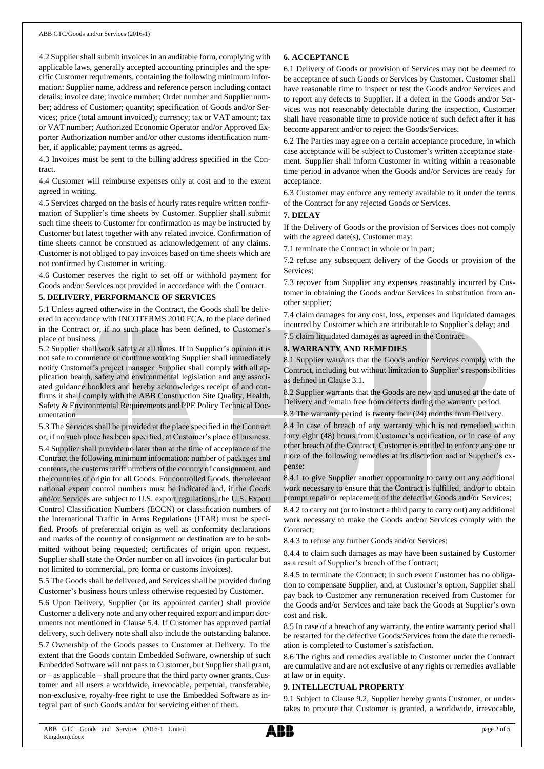4.2 Supplier shall submit invoices in an auditable form, complying with applicable laws, generally accepted accounting principles and the specific Customer requirements, containing the following minimum information: Supplier name, address and reference person including contact details; invoice date; invoice number; Order number and Supplier number; address of Customer; quantity; specification of Goods and/or Services; price (total amount invoiced); currency; tax or VAT amount; tax or VAT number; Authorized Economic Operator and/or Approved Exporter Authorization number and/or other customs identification number, if applicable; payment terms as agreed.

4.3 Invoices must be sent to the billing address specified in the Contract.

4.4 Customer will reimburse expenses only at cost and to the extent agreed in writing.

4.5 Services charged on the basis of hourly rates require written confirmation of Supplier's time sheets by Customer. Supplier shall submit such time sheets to Customer for confirmation as may be instructed by Customer but latest together with any related invoice. Confirmation of time sheets cannot be construed as acknowledgement of any claims. Customer is not obliged to pay invoices based on time sheets which are not confirmed by Customer in writing.

4.6 Customer reserves the right to set off or withhold payment for Goods and/or Services not provided in accordance with the Contract.

#### **5. DELIVERY, PERFORMANCE OF SERVICES**

5.1 Unless agreed otherwise in the Contract, the Goods shall be delivered in accordance with INCOTERMS 2010 FCA, to the place defined in the Contract or, if no such place has been defined, to Customer's place of business.

5.2 Supplier shall work safely at all times. If in Supplier's opinion it is not safe to commence or continue working Supplier shall immediately notify Customer's project manager. Supplier shall comply with all application health, safety and environmental legislation and any associated guidance booklets and hereby acknowledges receipt of and confirms it shall comply with the ABB Construction Site Quality, Health, Safety & Environmental Requirements and PPE Policy Technical Documentation

5.3 The Services shall be provided at the place specified in the Contract or, if no such place has been specified, at Customer's place of business. 5.4 Supplier shall provide no later than at the time of acceptance of the Contract the following minimum information: number of packages and contents, the customs tariff numbers of the country of consignment, and the countries of origin for all Goods. For controlled Goods, the relevant national export control numbers must be indicated and, if the Goods and/or Services are subject to U.S. export regulations, the U.S. Export Control Classification Numbers (ECCN) or classification numbers of the International Traffic in Arms Regulations (ITAR) must be specified. Proofs of preferential origin as well as conformity declarations and marks of the country of consignment or destination are to be submitted without being requested; certificates of origin upon request. Supplier shall state the Order number on all invoices (in particular but not limited to commercial, pro forma or customs invoices).

5.5 The Goods shall be delivered, and Services shall be provided during Customer's business hours unless otherwise requested by Customer.

5.6 Upon Delivery, Supplier (or its appointed carrier) shall provide Customer a delivery note and any other required export and import documents not mentioned in Clause 5.4. If Customer has approved partial delivery, such delivery note shall also include the outstanding balance.

5.7 Ownership of the Goods passes to Customer at Delivery. To the extent that the Goods contain Embedded Software, ownership of such Embedded Software will not passto Customer, but Supplier shall grant, or – as applicable – shall procure that the third party owner grants, Customer and all users a worldwide, irrevocable, perpetual, transferable, non-exclusive, royalty-free right to use the Embedded Software as integral part of such Goods and/or for servicing either of them.

## **6. ACCEPTANCE**

6.1 Delivery of Goods or provision of Services may not be deemed to be acceptance of such Goods or Services by Customer. Customer shall have reasonable time to inspect or test the Goods and/or Services and to report any defects to Supplier. If a defect in the Goods and/or Services was not reasonably detectable during the inspection, Customer shall have reasonable time to provide notice of such defect after it has become apparent and/or to reject the Goods/Services.

6.2 The Parties may agree on a certain acceptance procedure, in which case acceptance will be subject to Customer's written acceptance statement. Supplier shall inform Customer in writing within a reasonable time period in advance when the Goods and/or Services are ready for acceptance.

6.3 Customer may enforce any remedy available to it under the terms of the Contract for any rejected Goods or Services.

#### **7. DELAY**

If the Delivery of Goods or the provision of Services does not comply with the agreed date(s), Customer may:

7.1 terminate the Contract in whole or in part;

7.2 refuse any subsequent delivery of the Goods or provision of the Services;

7.3 recover from Supplier any expenses reasonably incurred by Customer in obtaining the Goods and/or Services in substitution from another supplier;

7.4 claim damages for any cost, loss, expenses and liquidated damages incurred by Customer which are attributable to Supplier's delay; and 7.5 claim liquidated damages as agreed in the Contract.

### **8. WARRANTY AND REMEDIES**

8.1 Supplier warrants that the Goods and/or Services comply with the Contract, including but without limitation to Supplier's responsibilities as defined in Clause 3.1.

8.2 Supplier warrants that the Goods are new and unused at the date of Delivery and remain free from defects during the warranty period.

8.3 The warranty period is twenty four (24) months from Delivery.

8.4 In case of breach of any warranty which is not remedied within forty eight (48) hours from Customer's notification, or in case of any other breach of the Contract, Customer is entitled to enforce any one or more of the following remedies at its discretion and at Supplier's expense:

8.4.1 to give Supplier another opportunity to carry out any additional work necessary to ensure that the Contract is fulfilled, and/or to obtain prompt repair or replacement of the defective Goods and/or Services;

8.4.2 to carry out (or to instruct a third party to carry out) any additional work necessary to make the Goods and/or Services comply with the Contract;

8.4.3 to refuse any further Goods and/or Services;

8.4.4 to claim such damages as may have been sustained by Customer as a result of Supplier's breach of the Contract;

8.4.5 to terminate the Contract; in such event Customer has no obligation to compensate Supplier, and, at Customer's option, Supplier shall pay back to Customer any remuneration received from Customer for the Goods and/or Services and take back the Goods at Supplier's own cost and risk.

8.5 In case of a breach of any warranty, the entire warranty period shall be restarted for the defective Goods/Services from the date the remediation is completed to Customer's satisfaction.

8.6 The rights and remedies available to Customer under the Contract are cumulative and are not exclusive of any rights or remedies available at law or in equity.

#### **9. INTELLECTUAL PROPERTY**

9.1 Subject to Clause 9.2, Supplier hereby grants Customer, or undertakes to procure that Customer is granted, a worldwide, irrevocable,

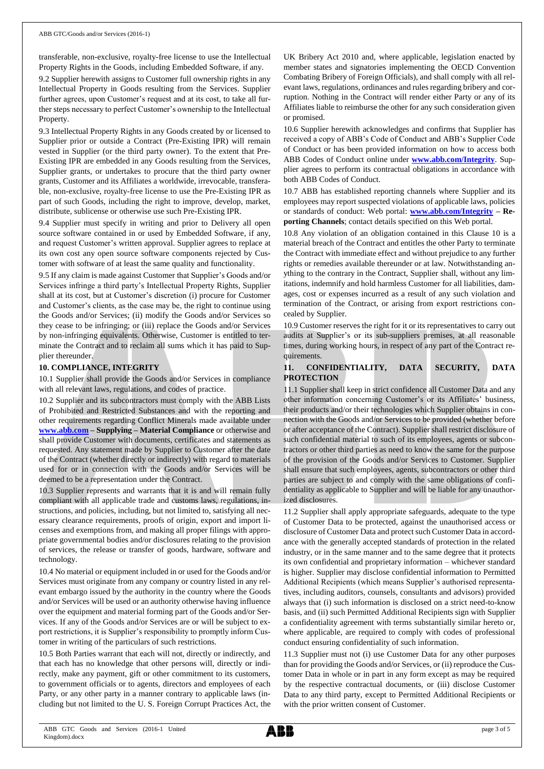transferable, non-exclusive, royalty-free license to use the Intellectual Property Rights in the Goods, including Embedded Software, if any.

9.2 Supplier herewith assigns to Customer full ownership rights in any Intellectual Property in Goods resulting from the Services. Supplier further agrees, upon Customer's request and at its cost, to take all further steps necessary to perfect Customer's ownership to the Intellectual Property.

9.3 Intellectual Property Rights in any Goods created by or licensed to Supplier prior or outside a Contract (Pre-Existing IPR) will remain vested in Supplier (or the third party owner). To the extent that Pre-Existing IPR are embedded in any Goods resulting from the Services, Supplier grants, or undertakes to procure that the third party owner grants, Customer and its Affiliates a worldwide, irrevocable, transferable, non-exclusive, royalty-free license to use the Pre-Existing IPR as part of such Goods, including the right to improve, develop, market, distribute, sublicense or otherwise use such Pre-Existing IPR.

9.4 Supplier must specify in writing and prior to Delivery all open source software contained in or used by Embedded Software, if any, and request Customer's written approval. Supplier agrees to replace at its own cost any open source software components rejected by Customer with software of at least the same quality and functionality.

9.5 If any claim is made against Customer that Supplier's Goods and/or Services infringe a third party's Intellectual Property Rights, Supplier shall at its cost, but at Customer's discretion (i) procure for Customer and Customer's clients, as the case may be, the right to continue using the Goods and/or Services; (ii) modify the Goods and/or Services so they cease to be infringing; or (iii) replace the Goods and/or Services by non-infringing equivalents. Otherwise, Customer is entitled to terminate the Contract and to reclaim all sums which it has paid to Supplier thereunder.

#### **10. COMPLIANCE, INTEGRITY**

10.1 Supplier shall provide the Goods and/or Services in compliance with all relevant laws, regulations, and codes of practice.

10.2 Supplier and its subcontractors must comply with the ABB Lists of Prohibited and Restricted Substances and with the reporting and other requirements regarding Conflict Minerals made available under **[www.abb.com](http://www.abb.com/) – Supplying – Material Compliance** or otherwise and shall provide Customer with documents, certificates and statements as requested. Any statement made by Supplier to Customer after the date of the Contract (whether directly or indirectly) with regard to materials used for or in connection with the Goods and/or Services will be deemed to be a representation under the Contract.

10.3 Supplier represents and warrants that it is and will remain fully compliant with all applicable trade and customs laws, regulations, instructions, and policies, including, but not limited to, satisfying all necessary clearance requirements, proofs of origin, export and import licenses and exemptions from, and making all proper filings with appropriate governmental bodies and/or disclosures relating to the provision of services, the release or transfer of goods, hardware, software and technology.

10.4 No material or equipment included in or used for the Goods and/or Services must originate from any company or country listed in any relevant embargo issued by the authority in the country where the Goods and/or Services will be used or an authority otherwise having influence over the equipment and material forming part of the Goods and/or Services. If any of the Goods and/or Services are or will be subject to export restrictions, it is Supplier's responsibility to promptly inform Customer in writing of the particulars of such restrictions.

10.5 Both Parties warrant that each will not, directly or indirectly, and that each has no knowledge that other persons will, directly or indirectly, make any payment, gift or other commitment to its customers, to government officials or to agents, directors and employees of each Party, or any other party in a manner contrary to applicable laws (including but not limited to the U. S. Foreign Corrupt Practices Act, the UK Bribery Act 2010 and, where applicable, legislation enacted by member states and signatories implementing the OECD Convention Combating Bribery of Foreign Officials), and shall comply with all relevant laws, regulations, ordinances and rules regarding bribery and corruption. Nothing in the Contract will render either Party or any of its Affiliates liable to reimburse the other for any such consideration given or promised.

10.6 Supplier herewith acknowledges and confirms that Supplier has received a copy of ABB's Code of Conduct and ABB's Supplier Code of Conduct or has been provided information on how to access both ABB Codes of Conduct online under **[www.abb.com/Integrity](http://www.abb.com/Integrity)**. Supplier agrees to perform its contractual obligations in accordance with both ABB Codes of Conduct.

10.7 ABB has established reporting channels where Supplier and its employees may report suspected violations of applicable laws, policies or standards of conduct: Web portal: **[www.abb.com/Integrity](http://www.abb.com/Integrity) – Reporting Channels**; contact details specified on this Web portal.

10.8 Any violation of an obligation contained in this Clause 10 is a material breach of the Contract and entitles the other Party to terminate the Contract with immediate effect and without prejudice to any further rights or remedies available thereunder or at law. Notwithstanding anything to the contrary in the Contract, Supplier shall, without any limitations, indemnify and hold harmless Customer for all liabilities, damages, cost or expenses incurred as a result of any such violation and termination of the Contract, or arising from export restrictions concealed by Supplier.

10.9 Customer reserves the right for it or its representatives to carry out audits at Supplier's or its sub-suppliers premises, at all reasonable times, during working hours, in respect of any part of the Contract requirements.

#### **11. CONFIDENTIALITY, DATA SECURITY, DATA PROTECTION**

11.1 Supplier shall keep in strict confidence all Customer Data and any other information concerning Customer's or its Affiliates' business, their products and/or their technologies which Supplier obtains in connection with the Goods and/or Services to be provided (whether before or after acceptance of the Contract). Supplier shall restrict disclosure of such confidential material to such of its employees, agents or subcontractors or other third parties as need to know the same for the purpose of the provision of the Goods and/or Services to Customer. Supplier shall ensure that such employees, agents, subcontractors or other third parties are subject to and comply with the same obligations of confidentiality as applicable to Supplier and will be liable for any unauthorized disclosures.

11.2 Supplier shall apply appropriate safeguards, adequate to the type of Customer Data to be protected, against the unauthorised access or disclosure of Customer Data and protect such Customer Data in accordance with the generally accepted standards of protection in the related industry, or in the same manner and to the same degree that it protects its own confidential and proprietary information – whichever standard is higher. Supplier may disclose confidential information to Permitted Additional Recipients (which means Supplier's authorised representatives, including auditors, counsels, consultants and advisors) provided always that (i) such information is disclosed on a strict need-to-know basis, and (ii) such Permitted Additional Recipients sign with Supplier a confidentiality agreement with terms substantially similar hereto or, where applicable, are required to comply with codes of professional conduct ensuring confidentiality of such information.

11.3 Supplier must not (i) use Customer Data for any other purposes than for providing the Goods and/or Services, or (ii) reproduce the Customer Data in whole or in part in any form except as may be required by the respective contractual documents, or (iii) disclose Customer Data to any third party, except to Permitted Additional Recipients or with the prior written consent of Customer.

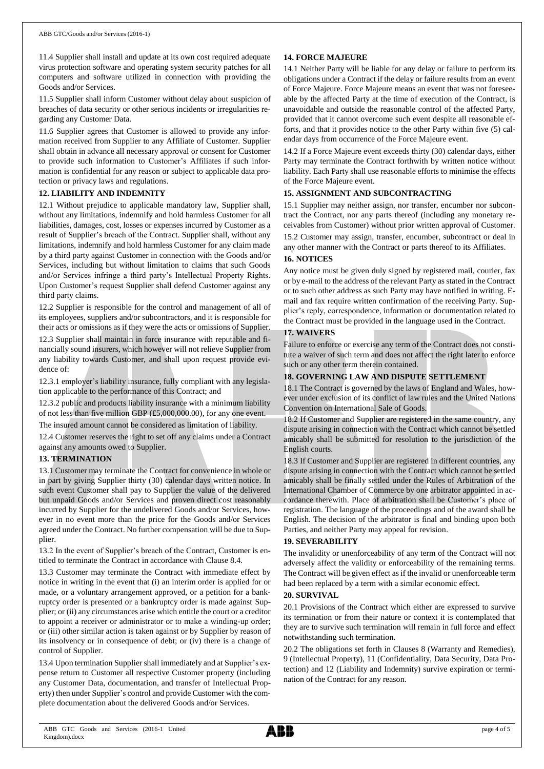11.4 Supplier shall install and update at its own cost required adequate virus protection software and operating system security patches for all computers and software utilized in connection with providing the Goods and/or Services.

11.5 Supplier shall inform Customer without delay about suspicion of breaches of data security or other serious incidents or irregularities regarding any Customer Data.

11.6 Supplier agrees that Customer is allowed to provide any information received from Supplier to any Affiliate of Customer. Supplier shall obtain in advance all necessary approval or consent for Customer to provide such information to Customer's Affiliates if such information is confidential for any reason or subject to applicable data protection or privacy laws and regulations.

## **12. LIABILITY AND INDEMNITY**

12.1 Without prejudice to applicable mandatory law, Supplier shall, without any limitations, indemnify and hold harmless Customer for all liabilities, damages, cost, losses or expenses incurred by Customer as a result of Supplier's breach of the Contract. Supplier shall, without any limitations, indemnify and hold harmless Customer for any claim made by a third party against Customer in connection with the Goods and/or Services, including but without limitation to claims that such Goods and/or Services infringe a third party's Intellectual Property Rights. Upon Customer's request Supplier shall defend Customer against any third party claims.

12.2 Supplier is responsible for the control and management of all of its employees, suppliers and/or subcontractors, and it is responsible for their acts or omissions as if they were the acts or omissions of Supplier. 12.3 Supplier shall maintain in force insurance with reputable and financially sound insurers, which however will not relieve Supplier from any liability towards Customer, and shall upon request provide evidence of:

12.3.1 employer's liability insurance, fully compliant with any legislation applicable to the performance of this Contract; and

12.3.2 public and products liability insurance with a minimum liability of not less than five million GBP (£5,000,000.00), for any one event.

The insured amount cannot be considered as limitation of liability.

12.4 Customer reserves the right to set off any claims under a Contract against any amounts owed to Supplier.

## **13. TERMINATION**

13.1 Customer may terminate the Contract for convenience in whole or in part by giving Supplier thirty (30) calendar days written notice. In such event Customer shall pay to Supplier the value of the delivered but unpaid Goods and/or Services and proven direct cost reasonably incurred by Supplier for the undelivered Goods and/or Services, however in no event more than the price for the Goods and/or Services agreed under the Contract. No further compensation will be due to Supplier.

13.2 In the event of Supplier's breach of the Contract, Customer is entitled to terminate the Contract in accordance with Clause 8.4.

13.3 Customer may terminate the Contract with immediate effect by notice in writing in the event that (i) an interim order is applied for or made, or a voluntary arrangement approved, or a petition for a bankruptcy order is presented or a bankruptcy order is made against Supplier; or (ii) any circumstances arise which entitle the court or a creditor to appoint a receiver or administrator or to make a winding-up order; or (iii) other similar action is taken against or by Supplier by reason of its insolvency or in consequence of debt; or (iv) there is a change of control of Supplier.

13.4 Upon termination Supplier shall immediately and at Supplier's expense return to Customer all respective Customer property (including any Customer Data, documentation, and transfer of Intellectual Property) then under Supplier's control and provide Customer with the complete documentation about the delivered Goods and/or Services.

## **14. FORCE MAJEURE**

14.1 Neither Party will be liable for any delay or failure to perform its obligations under a Contract if the delay or failure results from an event of Force Majeure. Force Majeure means an event that was not foreseeable by the affected Party at the time of execution of the Contract, is unavoidable and outside the reasonable control of the affected Party, provided that it cannot overcome such event despite all reasonable efforts, and that it provides notice to the other Party within five (5) calendar days from occurrence of the Force Majeure event.

14.2 If a Force Majeure event exceeds thirty (30) calendar days, either Party may terminate the Contract forthwith by written notice without liability. Each Party shall use reasonable efforts to minimise the effects of the Force Majeure event.

## **15. ASSIGNMENT AND SUBCONTRACTING**

15.1 Supplier may neither assign, nor transfer, encumber nor subcontract the Contract, nor any parts thereof (including any monetary receivables from Customer) without prior written approval of Customer. 15.2 Customer may assign, transfer, encumber, subcontract or deal in any other manner with the Contract or parts thereof to its Affiliates.

## **16. NOTICES**

Any notice must be given duly signed by registered mail, courier, fax or by e-mail to the address of the relevant Party as stated in the Contract or to such other address as such Party may have notified in writing. Email and fax require written confirmation of the receiving Party. Supplier's reply, correspondence, information or documentation related to the Contract must be provided in the language used in the Contract.

## **17. WAIVERS**

Failure to enforce or exercise any term of the Contract does not constitute a waiver of such term and does not affect the right later to enforce such or any other term therein contained.

## **18. GOVERNING LAW AND DISPUTE SETTLEMENT**

18.1 The Contract is governed by the laws of England and Wales, however under exclusion of its conflict of law rules and the United Nations Convention on International Sale of Goods.

18.2 If Customer and Supplier are registered in the same country, any dispute arising in connection with the Contract which cannot be settled amicably shall be submitted for resolution to the jurisdiction of the English courts.

18.3 If Customer and Supplier are registered in different countries, any dispute arising in connection with the Contract which cannot be settled amicably shall be finally settled under the Rules of Arbitration of the International Chamber of Commerce by one arbitrator appointed in accordance therewith. Place of arbitration shall be Customer's place of registration. The language of the proceedings and of the award shall be English. The decision of the arbitrator is final and binding upon both Parties, and neither Party may appeal for revision.

## **19. SEVERABILITY**

The invalidity or unenforceability of any term of the Contract will not adversely affect the validity or enforceability of the remaining terms. The Contract will be given effect as if the invalid or unenforceable term had been replaced by a term with a similar economic effect.

#### **20. SURVIVAL**

20.1 Provisions of the Contract which either are expressed to survive its termination or from their nature or context it is contemplated that they are to survive such termination will remain in full force and effect notwithstanding such termination.

20.2 The obligations set forth in Clauses 8 (Warranty and Remedies), 9 (Intellectual Property), 11 (Confidentiality, Data Security, Data Protection) and 12 (Liability and Indemnity) survive expiration or termination of the Contract for any reason.